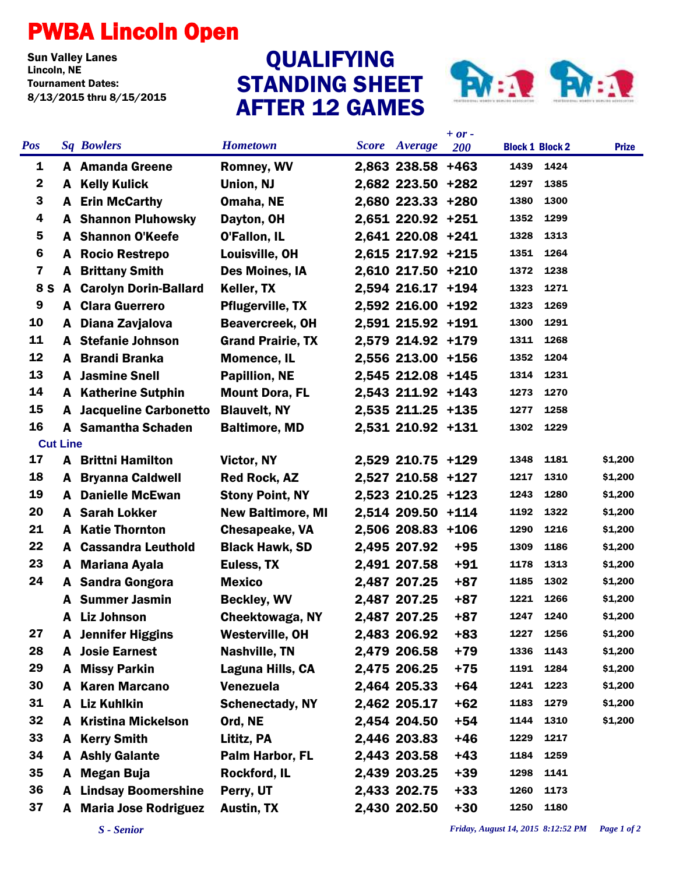## PWBA Lincoln Open

**Sun Valley Lanes<br>Lincoln, NE** Tournament Dates: 8/13/2015 thru 8/15/2015

## STANDING SHEET AFTER 12 GAMES QUALIFYING



| <b>Pos</b>              |   | <b>Sq Bowlers</b>              | <b>Hometown</b>          | <b>Score</b> Average | $+ or -$<br>200 | <b>Block 1 Block 2</b> |      | <b>Prize</b> |
|-------------------------|---|--------------------------------|--------------------------|----------------------|-----------------|------------------------|------|--------------|
| 1                       |   | A Amanda Greene                | <b>Romney, WV</b>        | 2,863 238.58 +463    |                 | 1439                   | 1424 |              |
| $\mathbf 2$             | A | <b>Kelly Kulick</b>            | Union, NJ                | 2,682 223.50 +282    |                 | 1297                   | 1385 |              |
| 3                       | A | <b>Erin McCarthy</b>           | Omaha, NE                | 2,680 223.33 +280    |                 | 1380                   | 1300 |              |
| 4                       | A | <b>Shannon Pluhowsky</b>       | Dayton, OH               | 2,651 220.92 +251    |                 | 1352                   | 1299 |              |
| 5                       | A | <b>Shannon O'Keefe</b>         | <b>O'Fallon, IL</b>      | 2,641 220.08 +241    |                 | 1328                   | 1313 |              |
| 6                       | A | <b>Rocio Restrepo</b>          | Louisville, OH           | 2,615 217.92 +215    |                 | 1351                   | 1264 |              |
| $\overline{\mathbf{z}}$ | A | <b>Brittany Smith</b>          | Des Moines, IA           | 2,610 217.50 +210    |                 | 1372                   | 1238 |              |
| 8 S                     |   | <b>A</b> Carolyn Dorin-Ballard | Keller, TX               | 2,594 216.17 +194    |                 | 1323                   | 1271 |              |
| 9                       |   | A Clara Guerrero               | <b>Pflugerville, TX</b>  | 2,592 216.00 +192    |                 | 1323                   | 1269 |              |
| 10                      | A | Diana Zavjalova                | <b>Beavercreek, OH</b>   | 2,591 215.92 +191    |                 | 1300                   | 1291 |              |
| 11                      | A | <b>Stefanie Johnson</b>        | <b>Grand Prairie, TX</b> | 2,579 214.92 +179    |                 | 1311                   | 1268 |              |
| 12                      | A | <b>Brandi Branka</b>           | <b>Momence, IL</b>       | 2,556 213.00 +156    |                 | 1352                   | 1204 |              |
| 13                      | A | <b>Jasmine Snell</b>           | <b>Papillion, NE</b>     | 2,545 212.08 +145    |                 | 1314                   | 1231 |              |
| 14                      |   | <b>A</b> Katherine Sutphin     | <b>Mount Dora, FL</b>    | 2,543 211.92 +143    |                 | 1273                   | 1270 |              |
| 15                      | A | <b>Jacqueline Carbonetto</b>   | <b>Blauvelt, NY</b>      | 2,535 211.25 +135    |                 | 1277                   | 1258 |              |
| 16                      |   | A Samantha Schaden             | <b>Baltimore, MD</b>     | 2,531 210.92 +131    |                 | 1302                   | 1229 |              |
| <b>Cut Line</b>         |   |                                |                          |                      |                 |                        |      |              |
| 17                      |   | <b>A</b> Brittni Hamilton      | Victor, NY               | 2,529 210.75 +129    |                 | 1348                   | 1181 | \$1,200      |
| 18                      | A | <b>Bryanna Caldwell</b>        | <b>Red Rock, AZ</b>      | 2,527 210.58 +127    |                 | 1217                   | 1310 | \$1,200      |
| 19                      | A | <b>Danielle McEwan</b>         | <b>Stony Point, NY</b>   | 2,523 210.25 +123    |                 | 1243                   | 1280 | \$1,200      |
| 20                      | A | <b>Sarah Lokker</b>            | <b>New Baltimore, MI</b> | 2,514 209.50 +114    |                 | 1192                   | 1322 | \$1,200      |
| 21                      | A | <b>Katie Thornton</b>          | <b>Chesapeake, VA</b>    | 2,506 208.83 +106    |                 | 1290                   | 1216 | \$1,200      |
| 22                      |   | <b>A</b> Cassandra Leuthold    | <b>Black Hawk, SD</b>    | 2,495 207.92         | $+95$           | 1309                   | 1186 | \$1,200      |
| 23                      |   | A Mariana Ayala                | Euless, TX               | 2,491 207.58         | $+91$           | 1178                   | 1313 | \$1,200      |
| 24                      | A | <b>Sandra Gongora</b>          | <b>Mexico</b>            | 2,487 207.25         | $+87$           | 1185                   | 1302 | \$1,200      |
|                         | A | <b>Summer Jasmin</b>           | <b>Beckley, WV</b>       | 2,487 207.25         | $+87$           | 1221                   | 1266 | \$1,200      |
|                         | A | <b>Liz Johnson</b>             | <b>Cheektowaga, NY</b>   | 2,487 207.25         | $+87$           | 1247                   | 1240 | \$1,200      |
| 27                      |   | <b>A</b> Jennifer Higgins      | <b>Westerville, OH</b>   | 2,483 206.92         | $+83$           | 1227                   | 1256 | \$1,200      |
| 28                      | A | <b>Josie Earnest</b>           | Nashville, TN            | 2,479 206.58         | $+79$           | 1336                   | 1143 | \$1,200      |
| 29                      | A | <b>Missy Parkin</b>            | Laguna Hills, CA         | 2,475 206.25         | $+75$           | 1191                   | 1284 | \$1,200      |
| 30                      |   | <b>A</b> Karen Marcano         | <b>Venezuela</b>         | 2,464 205.33         | $+64$           | 1241                   | 1223 | \$1,200      |
| 31                      | A | <b>Liz Kuhlkin</b>             | <b>Schenectady, NY</b>   | 2,462 205.17         | $+62$           | 1183                   | 1279 | \$1,200      |
| 32                      | A | <b>Kristina Mickelson</b>      | Ord, NE                  | 2,454 204.50         | $+54$           | 1144                   | 1310 | \$1,200      |
| 33                      | A | <b>Kerry Smith</b>             | Lititz, PA               | 2,446 203.83         | $+46$           | 1229                   | 1217 |              |
| 34                      | A | <b>Ashly Galante</b>           | Palm Harbor, FL          | 2,443 203.58         | $+43$           | 1184                   | 1259 |              |
| 35                      | A | <b>Megan Buja</b>              | <b>Rockford, IL</b>      | 2,439 203.25         | $+39$           | 1298                   | 1141 |              |
| 36                      |   | <b>A</b> Lindsay Boomershine   | Perry, UT                | 2,433 202.75         | $+33$           | 1260                   | 1173 |              |
| 37                      | A | <b>Maria Jose Rodriguez</b>    | Austin, TX               | 2,430 202.50         | $+30$           | 1250                   | 1180 |              |